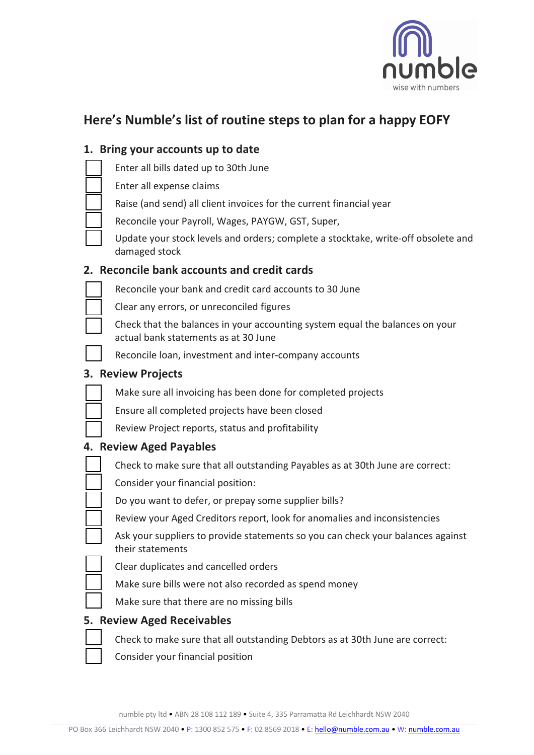

## **Here's Numble's list of routine steps to plan for a happy EOFY**

# **1. Bring your accounts up to date** Enter all bills dated up to 30th June Enter all expense claims Raise (and send) all client invoices for the current financial year Reconcile your Payroll, Wages, PAYGW, GST, Super, Update your stock levels and orders; complete a stocktake, write-off obsolete and damaged stock **2. Reconcile bank accounts and credit cards** Reconcile your bank and credit card accounts to 30 June Clear any errors, or unreconciled figures Check that the balances in your accounting system equal the balances on your actual bank statements as at 30 June Reconcile loan, investment and inter-company accounts **3. Review Projects** Make sure all invoicing has been done for completed projects Ensure all completed projects have been closed Review Project reports, status and profitability **4. Review Aged Payables**  Check to make sure that all outstanding Payables as at 30th June are correct: Consider your financial position: Do you want to defer, or prepay some supplier bills? Review your Aged Creditors report, look for anomalies and inconsistencies Ask your suppliers to provide statements so you can check your balances against their statements

- Clear duplicates and cancelled orders
- Make sure bills were not also recorded as spend money
- Make sure that there are no missing bills

### **5. Review Aged Receivables**

- Check to make sure that all outstanding Debtors as at 30th June are correct:
- Consider your financial position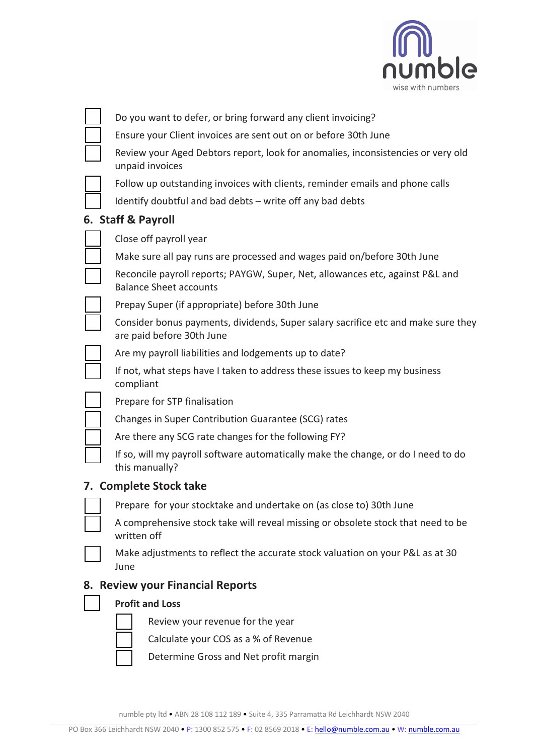

|    | Do you want to defer, or bring forward any client invoicing?                                                   |
|----|----------------------------------------------------------------------------------------------------------------|
|    | Ensure your Client invoices are sent out on or before 30th June                                                |
|    | Review your Aged Debtors report, look for anomalies, inconsistencies or very old<br>unpaid invoices            |
|    | Follow up outstanding invoices with clients, reminder emails and phone calls                                   |
|    | Identify doubtful and bad debts - write off any bad debts                                                      |
|    | 6. Staff & Payroll                                                                                             |
|    | Close off payroll year                                                                                         |
|    | Make sure all pay runs are processed and wages paid on/before 30th June                                        |
|    | Reconcile payroll reports; PAYGW, Super, Net, allowances etc, against P&L and<br><b>Balance Sheet accounts</b> |
|    | Prepay Super (if appropriate) before 30th June                                                                 |
|    | Consider bonus payments, dividends, Super salary sacrifice etc and make sure they<br>are paid before 30th June |
|    | Are my payroll liabilities and lodgements up to date?                                                          |
|    | If not, what steps have I taken to address these issues to keep my business<br>compliant                       |
|    | Prepare for STP finalisation                                                                                   |
|    | Changes in Super Contribution Guarantee (SCG) rates                                                            |
|    | Are there any SCG rate changes for the following FY?                                                           |
|    | If so, will my payroll software automatically make the change, or do I need to do<br>this manually?            |
|    | 7. Complete Stock take                                                                                         |
|    | Prepare for your stocktake and undertake on (as close to) 30th June                                            |
|    | A comprehensive stock take will reveal missing or obsolete stock that need to be<br>written off                |
|    | Make adjustments to reflect the accurate stock valuation on your P&L as at 30<br>June                          |
| 8. | <b>Review your Financial Reports</b>                                                                           |
|    | <b>Profit and Loss</b>                                                                                         |
|    | Review your revenue for the year                                                                               |
|    | Calculate your COS as a % of Revenue                                                                           |
|    | Determine Gross and Net profit margin                                                                          |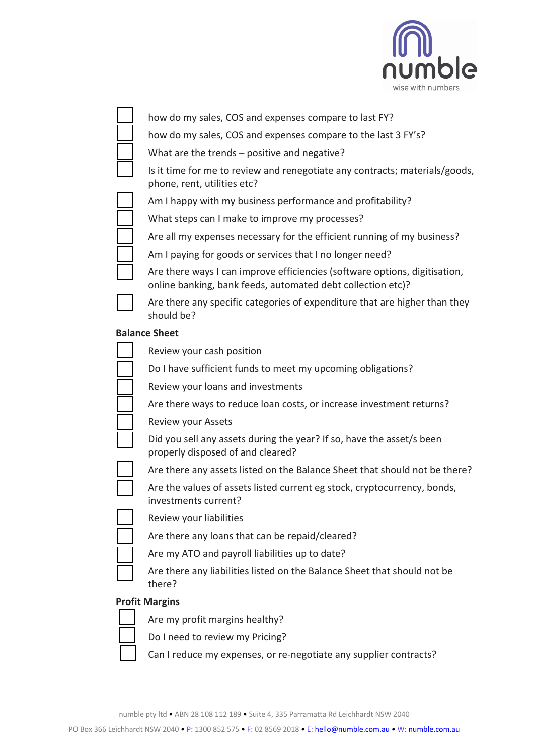

| IUIIU<br>wise with numbers                                                                                                                |
|-------------------------------------------------------------------------------------------------------------------------------------------|
| how do my sales, COS and expenses compare to last FY?                                                                                     |
| how do my sales, COS and expenses compare to the last 3 FY's?                                                                             |
| What are the trends - positive and negative?                                                                                              |
| Is it time for me to review and renegotiate any contracts; materials/goods,<br>phone, rent, utilities etc?                                |
| Am I happy with my business performance and profitability?                                                                                |
| What steps can I make to improve my processes?                                                                                            |
| Are all my expenses necessary for the efficient running of my business?                                                                   |
| Am I paying for goods or services that I no longer need?                                                                                  |
| Are there ways I can improve efficiencies (software options, digitisation,<br>online banking, bank feeds, automated debt collection etc)? |
| Are there any specific categories of expenditure that are higher than they<br>should be?                                                  |
| <b>Balance Sheet</b>                                                                                                                      |
| Review your cash position                                                                                                                 |
| Do I have sufficient funds to meet my upcoming obligations?                                                                               |
| Review your loans and investments                                                                                                         |
| Are there ways to reduce loan costs, or increase investment returns?                                                                      |
| <b>Review your Assets</b>                                                                                                                 |
| Did you sell any assets during the year? If so, have the asset/s been<br>properly disposed of and cleared?                                |
| Are there any assets listed on the Balance Sheet that should not be there?                                                                |
| Are the values of assets listed current eg stock, cryptocurrency, bonds,<br>investments current?                                          |
| Review your liabilities                                                                                                                   |
| Are there any loans that can be repaid/cleared?                                                                                           |
| Are my ATO and payroll liabilities up to date?                                                                                            |
| Are there any liabilities listed on the Balance Sheet that should not be<br>there?                                                        |
| <b>Profit Margins</b>                                                                                                                     |
| Are my profit margins healthy?                                                                                                            |
| Do I need to review my Pricing?                                                                                                           |

Can I reduce my expenses, or re-negotiate any supplier contracts?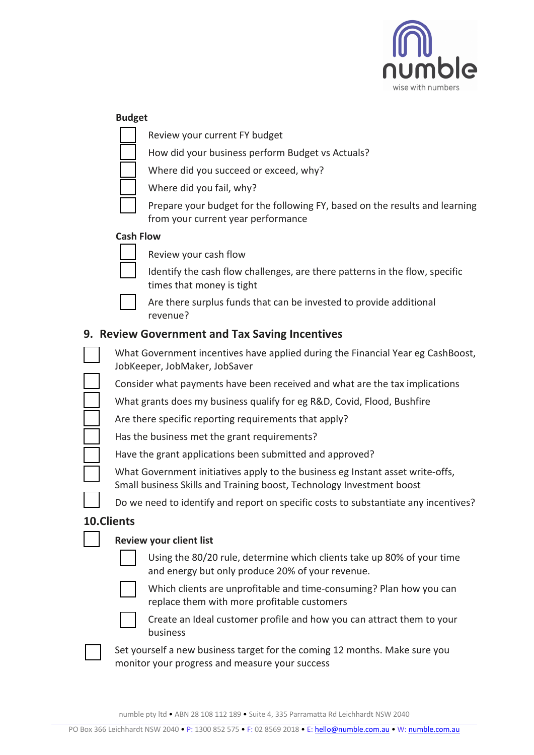

|                                                | <b>Budget</b>                                                                                                                                           |  |  |
|------------------------------------------------|---------------------------------------------------------------------------------------------------------------------------------------------------------|--|--|
|                                                | Review your current FY budget                                                                                                                           |  |  |
|                                                | How did your business perform Budget vs Actuals?                                                                                                        |  |  |
|                                                | Where did you succeed or exceed, why?                                                                                                                   |  |  |
|                                                | Where did you fail, why?                                                                                                                                |  |  |
|                                                | Prepare your budget for the following FY, based on the results and learning<br>from your current year performance                                       |  |  |
|                                                | <b>Cash Flow</b>                                                                                                                                        |  |  |
|                                                | Review your cash flow                                                                                                                                   |  |  |
|                                                | Identify the cash flow challenges, are there patterns in the flow, specific<br>times that money is tight                                                |  |  |
|                                                | Are there surplus funds that can be invested to provide additional<br>revenue?                                                                          |  |  |
| 9. Review Government and Tax Saving Incentives |                                                                                                                                                         |  |  |
|                                                | What Government incentives have applied during the Financial Year eg CashBoost,<br>JobKeeper, JobMaker, JobSaver                                        |  |  |
|                                                | Consider what payments have been received and what are the tax implications                                                                             |  |  |
|                                                | What grants does my business qualify for eg R&D, Covid, Flood, Bushfire                                                                                 |  |  |
|                                                | Are there specific reporting requirements that apply?                                                                                                   |  |  |
|                                                | Has the business met the grant requirements?                                                                                                            |  |  |
|                                                | Have the grant applications been submitted and approved?                                                                                                |  |  |
|                                                | What Government initiatives apply to the business eg Instant asset write-offs,<br>Small business Skills and Training boost, Technology Investment boost |  |  |
|                                                | Do we need to identify and report on specific costs to substantiate any incentives?                                                                     |  |  |
| 10.Clients                                     |                                                                                                                                                         |  |  |
|                                                | <b>Review your client list</b>                                                                                                                          |  |  |
|                                                | Using the 80/20 rule, determine which clients take up 80% of your time<br>and energy but only produce 20% of your revenue.                              |  |  |
|                                                | Which clients are unprofitable and time-consuming? Plan how you can<br>replace them with more profitable customers                                      |  |  |
|                                                | Create an Ideal customer profile and how you can attract them to your<br>business                                                                       |  |  |
|                                                | Set yourself a new business target for the coming 12 months. Make sure you<br>monitor your progress and measure your success                            |  |  |